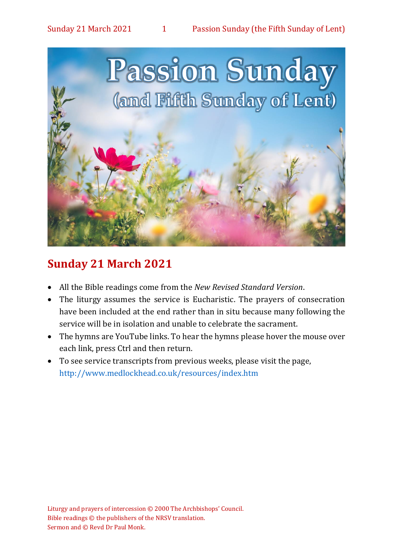

# **Sunday 21 March 2021**

- All the Bible readings come from the *New Revised Standard Version*.
- The liturgy assumes the service is Eucharistic. The prayers of consecration have been included at the end rather than in situ because many following the service will be in isolation and unable to celebrate the sacrament.
- The hymns are YouTube links. To hear the hymns please hover the mouse over each link, press Ctrl and then return.
- To see service transcripts from previous weeks, please visit the page, <http://www.medlockhead.co.uk/resources/index.htm>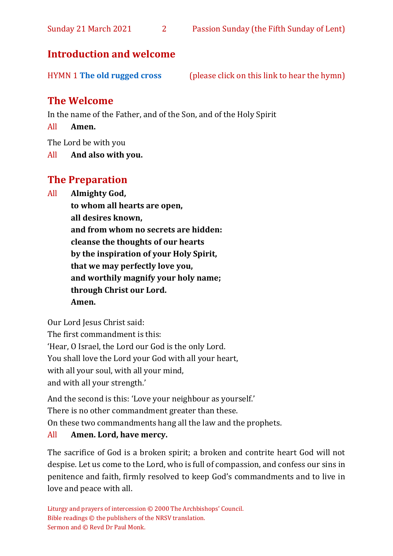## **Introduction and welcome**

HYMN 1 **[The old rugged cross](https://www.youtube.com/watch?v=W5Ee38FysBU)** (please click on this link to hear the hymn)

## **The Welcome**

In the name of the Father, and of the Son, and of the Holy Spirit

All **Amen.**

The Lord be with you

All **And also with you.**

## **The Preparation**

All **Almighty God,**

**to whom all hearts are open, all desires known, and from whom no secrets are hidden: cleanse the thoughts of our hearts by the inspiration of your Holy Spirit, that we may perfectly love you, and worthily magnify your holy name; through Christ our Lord. Amen.**

Our Lord Jesus Christ said:

The first commandment is this: 'Hear, O Israel, the Lord our God is the only Lord.

You shall love the Lord your God with all your heart,

with all your soul, with all your mind,

and with all your strength.'

And the second is this: 'Love your neighbour as yourself.'

There is no other commandment greater than these.

On these two commandments hang all the law and the prophets.

#### All **Amen. Lord, have mercy.**

The sacrifice of God is a broken spirit; a broken and contrite heart God will not despise. Let us come to the Lord, who is full of compassion, and confess our sins in penitence and faith, firmly resolved to keep God's commandments and to live in love and peace with all.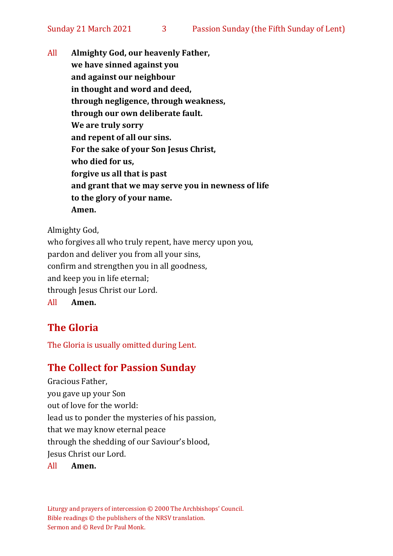All **Almighty God, our heavenly Father, we have sinned against you and against our neighbour in thought and word and deed, through negligence, through weakness, through our own deliberate fault. We are truly sorry and repent of all our sins. For the sake of your Son Jesus Christ, who died for us, forgive us all that is past and grant that we may serve you in newness of life to the glory of your name. Amen.**

Almighty God,

who forgives all who truly repent, have mercy upon you, pardon and deliver you from all your sins, confirm and strengthen you in all goodness, and keep you in life eternal; through Jesus Christ our Lord. All **Amen.**

## **The Gloria**

The Gloria is usually omitted during Lent.

## **The Collect for Passion Sunday**

Gracious Father, you gave up your Son out of love for the world: lead us to ponder the mysteries of his passion, that we may know eternal peace through the shedding of our Saviour's blood, Jesus Christ our Lord.

All **Amen.**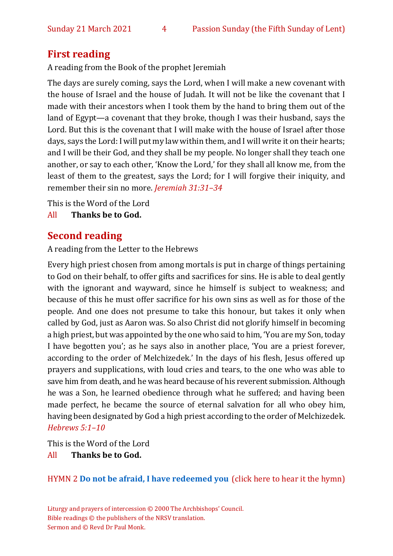# **First reading**

A reading from the Book of the prophet Jeremiah

The days are surely coming, says the Lord, when I will make a new covenant with the house of Israel and the house of Judah. It will not be like the covenant that I made with their ancestors when I took them by the hand to bring them out of the land of Egypt—a covenant that they broke, though I was their husband, says the Lord. But this is the covenant that I will make with the house of Israel after those days, says the Lord: I will put my law within them, and I will write it on their hearts; and I will be their God, and they shall be my people. No longer shall they teach one another, or say to each other, 'Know the Lord,' for they shall all know me, from the least of them to the greatest, says the Lord; for I will forgive their iniquity, and remember their sin no more. *Jeremiah 31:31–34*

This is the Word of the Lord

All **Thanks be to God.**

# **Second reading**

A reading from the Letter to the Hebrews

Every high priest chosen from among mortals is put in charge of things pertaining to God on their behalf, to offer gifts and sacrifices for sins. He is able to deal gently with the ignorant and wayward, since he himself is subject to weakness; and because of this he must offer sacrifice for his own sins as well as for those of the people. And one does not presume to take this honour, but takes it only when called by God, just as Aaron was. So also Christ did not glorify himself in becoming a high priest, but was appointed by the one who said to him, 'You are my Son, today I have begotten you'; as he says also in another place, 'You are a priest forever, according to the order of Melchizedek.' In the days of his flesh, Jesus offered up prayers and supplications, with loud cries and tears, to the one who was able to save him from death, and he was heard because of his reverent submission. Although he was a Son, he learned obedience through what he suffered; and having been made perfect, he became the source of eternal salvation for all who obey him, having been designated by God a high priest according to the order of Melchizedek. *Hebrews 5:1–10*

This is the Word of the Lord

## All **Thanks be to God.**

## HYMN 2 **[Do not be afraid, I have redeemed you](https://www.youtube.com/watch?v=v2rO0LhSWJ0)** (click here to hear it the hymn)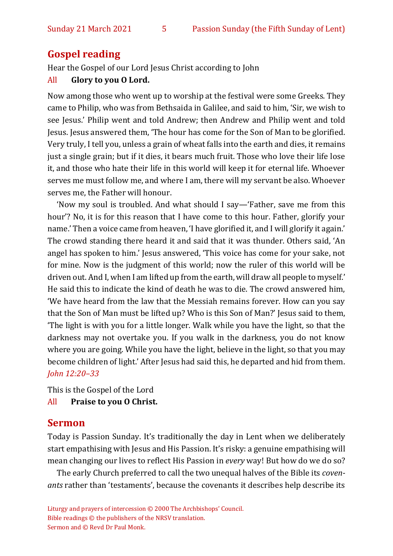## **Gospel reading**

Hear the Gospel of our Lord Jesus Christ according to John

#### All **Glory to you O Lord.**

Now among those who went up to worship at the festival were some Greeks. They came to Philip, who was from Bethsaida in Galilee, and said to him, 'Sir, we wish to see Jesus.' Philip went and told Andrew; then Andrew and Philip went and told Jesus. Jesus answered them, 'The hour has come for the Son of Man to be glorified. Very truly, I tell you, unless a grain of wheat falls into the earth and dies, it remains just a single grain; but if it dies, it bears much fruit. Those who love their life lose it, and those who hate their life in this world will keep it for eternal life. Whoever serves me must follow me, and where I am, there will my servant be also. Whoever serves me, the Father will honour.

'Now my soul is troubled. And what should I say—'Father, save me from this hour'? No, it is for this reason that I have come to this hour. Father, glorify your name.' Then a voice came from heaven, 'I have glorified it, and I will glorify it again.' The crowd standing there heard it and said that it was thunder. Others said, 'An angel has spoken to him.' Jesus answered, 'This voice has come for your sake, not for mine. Now is the judgment of this world; now the ruler of this world will be driven out. And I, when I am lifted up from the earth, will draw all people to myself.' He said this to indicate the kind of death he was to die. The crowd answered him, 'We have heard from the law that the Messiah remains forever. How can you say that the Son of Man must be lifted up? Who is this Son of Man?' Jesus said to them, 'The light is with you for a little longer. Walk while you have the light, so that the darkness may not overtake you. If you walk in the darkness, you do not know where you are going. While you have the light, believe in the light, so that you may become children of light.' After Jesus had said this, he departed and hid from them. *John 12:20–33*

This is the Gospel of the Lord All **Praise to you O Christ.** 

## **Sermon**

Today is Passion Sunday. It's traditionally the day in Lent when we deliberately start empathising with Jesus and His Passion. It's risky: a genuine empathising will mean changing our lives to reflect His Passion in *every* way! But how do we do so?

The early Church preferred to call the two unequal halves of the Bible its *covenants* rather than 'testaments', because the covenants it describes help describe its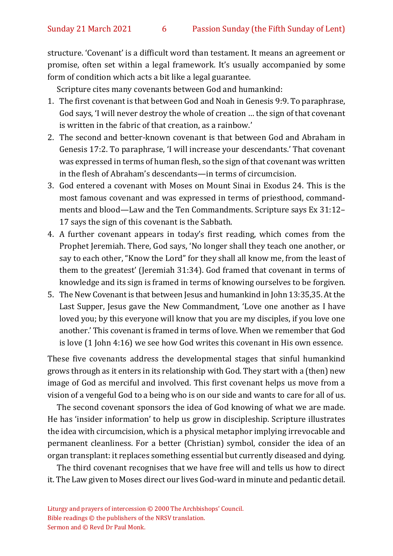structure. 'Covenant' is a difficult word than testament. It means an agreement or promise, often set within a legal framework. It's usually accompanied by some form of condition which acts a bit like a legal guarantee.

Scripture cites many covenants between God and humankind:

- 1. The first covenant is that between God and Noah in Genesis 9:9. To paraphrase, God says, 'I will never destroy the whole of creation … the sign of that covenant is written in the fabric of that creation, as a rainbow.'
- 2. The second and better-known covenant is that between God and Abraham in Genesis 17:2. To paraphrase, 'I will increase your descendants.' That covenant was expressed in terms of human flesh, so the sign of that covenant was written in the flesh of Abraham's descendants—in terms of circumcision.
- 3. God entered a covenant with Moses on Mount Sinai in Exodus 24. This is the most famous covenant and was expressed in terms of priesthood, commandments and blood—Law and the Ten Commandments. Scripture says Ex 31:12– 17 says the sign of this covenant is the Sabbath.
- 4. A further covenant appears in today's first reading, which comes from the Prophet Jeremiah. There, God says, 'No longer shall they teach one another, or say to each other, "Know the Lord" for they shall all know me, from the least of them to the greatest' (Jeremiah 31:34). God framed that covenant in terms of knowledge and its sign is framed in terms of knowing ourselves to be forgiven.
- 5. The New Covenant is that between Jesus and humankind in John 13:35,35. At the Last Supper, Jesus gave the New Commandment, 'Love one another as I have loved you; by this everyone will know that you are my disciples, if you love one another.' This covenant is framed in terms of love. When we remember that God is love (1 John 4:16) we see how God writes this covenant in His own essence.

These five covenants address the developmental stages that sinful humankind grows through as it enters in its relationship with God. They start with a (then) new image of God as merciful and involved. This first covenant helps us move from a vision of a vengeful God to a being who is on our side and wants to care for all of us.

The second covenant sponsors the idea of God knowing of what we are made. He has 'insider information' to help us grow in discipleship. Scripture illustrates the idea with circumcision, which is a physical metaphor implying irrevocable and permanent cleanliness. For a better (Christian) symbol, consider the idea of an organ transplant: it replaces something essential but currently diseased and dying.

The third covenant recognises that we have free will and tells us how to direct it. The Law given to Moses direct our lives God-ward in minute and pedantic detail.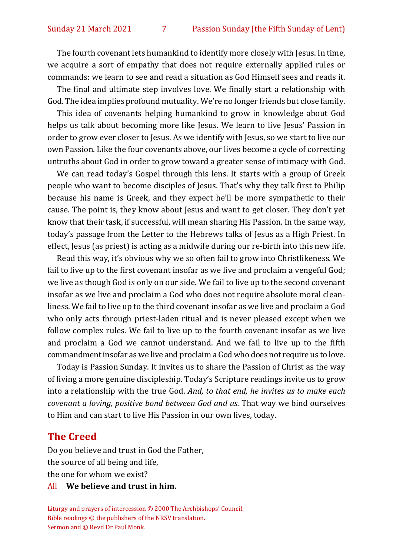The fourth covenant lets humankind to identify more closely with Jesus. In time, we acquire a sort of empathy that does not require externally applied rules or commands: we learn to see and read a situation as God Himself sees and reads it.

The final and ultimate step involves love. We finally start a relationship with God. The idea implies profound mutuality. We're no longer friends but close family.

This idea of covenants helping humankind to grow in knowledge about God helps us talk about becoming more like Jesus. We learn to live Jesus' Passion in order to grow ever closer to Jesus. As we identify with Jesus, so we start to live our own Passion. Like the four covenants above, our lives become a cycle of correcting untruths about God in order to grow toward a greater sense of intimacy with God.

We can read today's Gospel through this lens. It starts with a group of Greek people who want to become disciples of Jesus. That's why they talk first to Philip because his name is Greek, and they expect he'll be more sympathetic to their cause. The point is, they know about Jesus and want to get closer. They don't yet know that their task, if successful, will mean sharing His Passion. In the same way, today's passage from the Letter to the Hebrews talks of Jesus as a High Priest. In effect, Jesus (as priest) is acting as a midwife during our re-birth into this new life.

Read this way, it's obvious why we so often fail to grow into Christlikeness. We fail to live up to the first covenant insofar as we live and proclaim a vengeful God; we live as though God is only on our side. We fail to live up to the second covenant insofar as we live and proclaim a God who does not require absolute moral cleanliness. We fail to live up to the third covenant insofar as we live and proclaim a God who only acts through priest-laden ritual and is never pleased except when we follow complex rules. We fail to live up to the fourth covenant insofar as we live and proclaim a God we cannot understand. And we fail to live up to the fifth commandment insofar as we live and proclaim a God who does not require us to love.

Today is Passion Sunday. It invites us to share the Passion of Christ as the way of living a more genuine discipleship. Today's Scripture readings invite us to grow into a relationship with the true God. *And, to that end, he invites us to make each covenant a loving, positive bond between God and us.* That way we bind ourselves to Him and can start to live His Passion in our own lives, today.

#### **The Creed**

Do you believe and trust in God the Father, the source of all being and life, the one for whom we exist?

#### All **We believe and trust in him.**

Liturgy and prayers of intercession © 2000 The Archbishops' Council. Bible readings © the publishers of the NRSV translation. Sermon and © Revd Dr Paul Monk.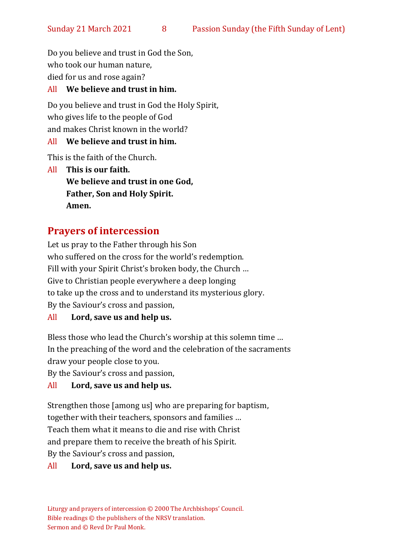Do you believe and trust in God the Son, who took our human nature, died for us and rose again?

#### All **We believe and trust in him.**

Do you believe and trust in God the Holy Spirit, who gives life to the people of God and makes Christ known in the world?

#### All **We believe and trust in him.**

This is the faith of the Church.

All **This is our faith. We believe and trust in one God, Father, Son and Holy Spirit. Amen.**

## **Prayers of intercession**

Let us pray to the Father through his Son who suffered on the cross for the world's redemption. Fill with your Spirit Christ's broken body, the Church … Give to Christian people everywhere a deep longing to take up the cross and to understand its mysterious glory. By the Saviour's cross and passion,

#### All **Lord, save us and help us.**

Bless those who lead the Church's worship at this solemn time … In the preaching of the word and the celebration of the sacraments draw your people close to you.

By the Saviour's cross and passion,

#### All **Lord, save us and help us.**

Strengthen those [among us] who are preparing for baptism, together with their teachers, sponsors and families … Teach them what it means to die and rise with Christ and prepare them to receive the breath of his Spirit. By the Saviour's cross and passion,

#### All **Lord, save us and help us.**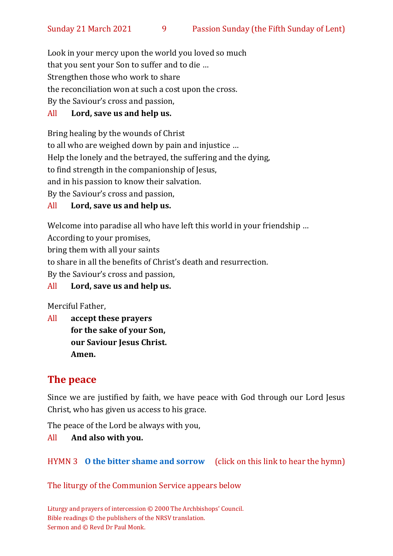Look in your mercy upon the world you loved so much that you sent your Son to suffer and to die … Strengthen those who work to share the reconciliation won at such a cost upon the cross.

By the Saviour's cross and passion,

#### All **Lord, save us and help us.**

Bring healing by the wounds of Christ to all who are weighed down by pain and injustice … Help the lonely and the betrayed, the suffering and the dying, to find strength in the companionship of Jesus, and in his passion to know their salvation. By the Saviour's cross and passion,

#### All **Lord, save us and help us.**

Welcome into paradise all who have left this world in your friendship …

According to your promises,

bring them with all your saints

to share in all the benefits of Christ's death and resurrection.

By the Saviour's cross and passion,

#### All **Lord, save us and help us.**

Merciful Father,

All **accept these prayers for the sake of your Son, our Saviour Jesus Christ. Amen.**

## **The peace**

Since we are justified by faith, we have peace with God through our Lord Jesus Christ, who has given us access to his grace.

The peace of the Lord be always with you,

#### All **And also with you.**

#### HYMN 3 **[O the bitter shame and sorrow](https://www.youtube.com/watch?v=vJbzqbiZ7JA)** (click on this link to hear the hymn)

#### The liturgy of the Communion Service appears below

Liturgy and prayers of intercession © 2000 The Archbishops' Council. Bible readings © the publishers of the NRSV translation. Sermon and © Revd Dr Paul Monk.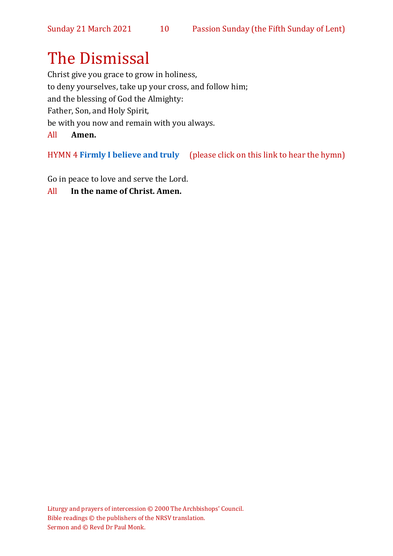# The Dismissal

Christ give you grace to grow in holiness, to deny yourselves, take up your cross, and follow him; and the blessing of God the Almighty: Father, Son, and Holy Spirit, be with you now and remain with you always. All **Amen.**

HYMN 4 **[Firmly I believe and truly](https://www.youtube.com/watch?v=F0K3STHs6yo)** (please click on this link to hear the hymn)

Go in peace to love and serve the Lord.

#### All **In the name of Christ. Amen.**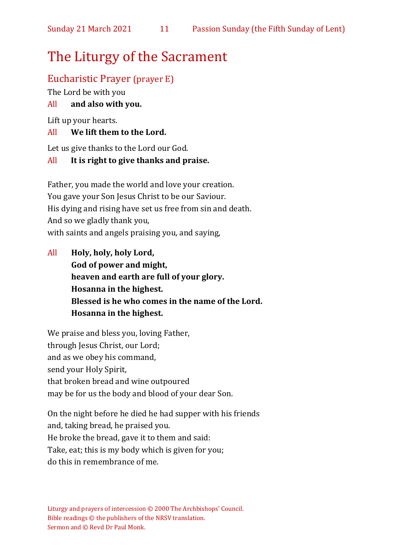# The Liturgy of the Sacrament

### Eucharistic Prayer (prayer E)

The Lord be with you

#### All **and also with you.**

Lift up your hearts.

#### All **We lift them to the Lord.**

Let us give thanks to the Lord our God.

#### All **It is right to give thanks and praise.**

Father, you made the world and love your creation. You gave your Son Jesus Christ to be our Saviour. His dying and rising have set us free from sin and death. And so we gladly thank you, with saints and angels praising you, and saying,

All **Holy, holy, holy Lord, God of power and might, heaven and earth are full of your glory. Hosanna in the highest. Blessed is he who comes in the name of the Lord. Hosanna in the highest.**

We praise and bless you, loving Father, through Jesus Christ, our Lord; and as we obey his command, send your Holy Spirit, that broken bread and wine outpoured may be for us the body and blood of your dear Son.

On the night before he died he had supper with his friends and, taking bread, he praised you. He broke the bread, gave it to them and said: Take, eat; this is my body which is given for you; do this in remembrance of me.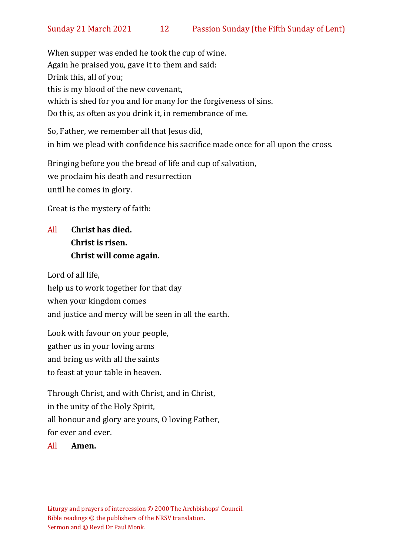When supper was ended he took the cup of wine. Again he praised you, gave it to them and said: Drink this, all of you; this is my blood of the new covenant, which is shed for you and for many for the forgiveness of sins. Do this, as often as you drink it, in remembrance of me.

So, Father, we remember all that Jesus did, in him we plead with confidence his sacrifice made once for all upon the cross.

Bringing before you the bread of life and cup of salvation, we proclaim his death and resurrection until he comes in glory.

Great is the mystery of faith:

## All **Christ has died. Christ is risen. Christ will come again.**

Lord of all life, help us to work together for that day when your kingdom comes and justice and mercy will be seen in all the earth.

Look with favour on your people, gather us in your loving arms and bring us with all the saints to feast at your table in heaven.

Through Christ, and with Christ, and in Christ, in the unity of the Holy Spirit, all honour and glory are yours, O loving Father, for ever and ever.

All **Amen.**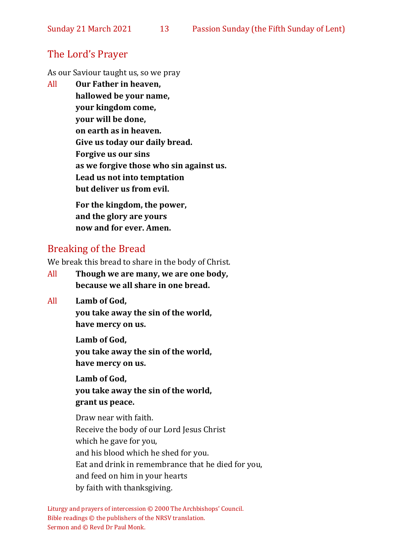## The Lord's Prayer

As our Saviour taught us, so we pray

All **Our Father in heaven, hallowed be your name, your kingdom come, your will be done, on earth as in heaven. Give us today our daily bread. Forgive us our sins as we forgive those who sin against us. Lead us not into temptation but deliver us from evil. For the kingdom, the power,** 

**and the glory are yours now and for ever. Amen.**

# Breaking of the Bread

We break this bread to share in the body of Christ.

- All **Though we are many, we are one body, because we all share in one bread.**
- All **Lamb of God,**

**you take away the sin of the world, have mercy on us.**

**Lamb of God, you take away the sin of the world, have mercy on us.**

**Lamb of God, you take away the sin of the world, grant us peace.**

Draw near with faith. Receive the body of our Lord Jesus Christ which he gave for you, and his blood which he shed for you. Eat and drink in remembrance that he died for you, and feed on him in your hearts by faith with thanksgiving.